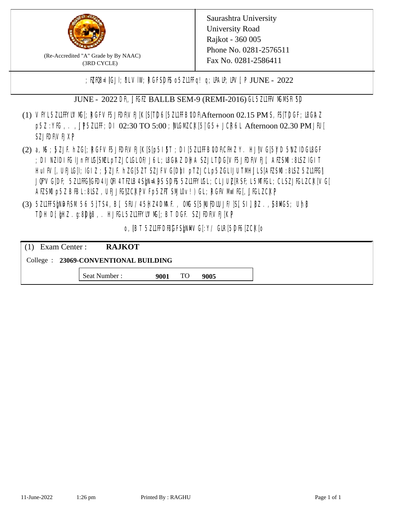

(Re-Accredited "A" Grade by By NAAC) (3RD CYCLE)

; PERB= IGJI; 8L VIW; RGFSDIS o 5ZL1 Fig! q; DAIP; DV[; P JUNE - 2022

JUNE - 2022 DR, JIGIZ BALLB SEM-9 (REMI-2016) GL5Z11FFVMMSH SD

- (1) VFYL5ZI1FFYLVM[; RGFVF5JEDF\VEJ[K[S[T]D6[5ZI1FFB0DF\Afternoon 02.15 PM S, IS[T]DGF; I8G\AZ p5Z:YIG, . , UP5ZI1H; DI 02:30 TO 5:00 ; MGM CK[5| G5+ JCR6L Afternoon 02.30 PM JIU[ **SZJIDFVEJXP**
- (2) a, M ; BZJE hZG[; RGFVE5JIDF\VEJ[K[S[p5I]\$T ; DI[5ZI1IFB\DDF\CHIZ Y. HJ]\VG[5|YD 5\VZ lDGI8GF ; DI NZIDI K; IJnFYIG[SMLpTZJCIGLOF/J6L; ISGAZ DHA SZJLTDG[VF5JEDF\VEJ[, AEZSM0 :8LSZ IGIT] HuIFV[, UEJG[]; IGIZ ; 5ZJF. hZG[5ZT SZJFVG[DbI pTZJCLp5ZGLIJUTMHJLS[AEZSM0 :8LSZ 5Z11HG] JQFVG[DF; 5Z11HG]GED4 LJQH 4 TEZIB4 SEN= APS SDES 5Z11 HYIGL ;CL JUL [RSF;L 5MTGL ;CL SZJFGL ZCK[ VG[ AESM p5Z BBL:8LSZ, UEJJG|ZCKPVFp5ZFT SMIOv!) GL; RGFVM EG[, JJGLZCKP
- (3) 5ZUFFS&NDF\SM.56 5}TS4, B[, SFU/45HZ4D\MAF., OMS[5|NU|PDIUJF/]S[ SI], [8Z.,[S8]ACS; Uh[8 TDH D[ $jHZ$ .g:8D $jg$ ,. HJ $KL$ 5Z11FYLVMS[;BT DGF. SZJEDFIVEJ[KP]

o, JBT 5Z11FDBGFSPNMG[:Y/ GIR[5DF6]ZCK[0

| $(1)$ Exam Center :                   | <b>RAJKOT</b> |      |     |      |  |  |
|---------------------------------------|---------------|------|-----|------|--|--|
| College : 23069-CONVENTIONAL BUILDING |               |      |     |      |  |  |
|                                       | Seat Number : | 9001 | TO. | 9005 |  |  |